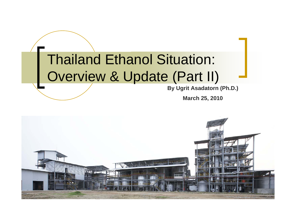### Thailand Ethanol Situation: Overview & Update (Part II)

**By Ugrit Asadatorn (Ph.D.)**

**March 25, 2010**

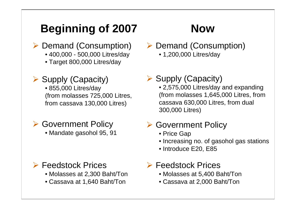### **Beginning of 2007 Now**

- **▶ Demand (Consumption)** 
	- 400,000 500,000 Litres/day
	- Target 800,000 Litres/day

### ▶ Supply (Capacity)

• 855,000 Litres/day (from molasses 725,000 Litres, from cassava 130,000 Litres)

#### **▶ Government Policy**

• Mandate gasohol 95, 91

#### ¾ Feedstock Prices

- Molasses at 2,300 Baht/Ton
- Cassava at 1,640 Baht/Ton

- **▶ Demand (Consumption)** 
	- 1,200,000 Litres/day

#### ▶ Supply (Capacity)

• 2,575,000 Litres/day and expanding (from molasses 1,645,000 Litres, from cassava 630,000 Litres, from dual 300,000 Litres)

#### **▶ Government Policy**

- Price Gap
- Increasing no. of gasohol gas stations
- Introduce E20, E85

#### ¾ Feedstock Prices

- Molasses at 5,400 Baht/Ton
- Cassava at 2,000 Baht/Ton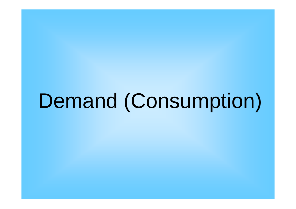Demand (Consumption)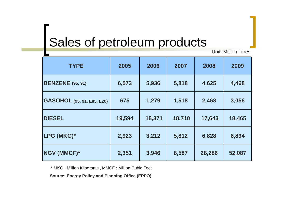### Sales of petroleum products

Unit: Million Litres

| <b>TYPE</b>                       | 2005   | 2006   | 2007   | 2008   | 2009   |
|-----------------------------------|--------|--------|--------|--------|--------|
| <b>BENZENE</b> (95, 91)           | 6,573  | 5,936  | 5,818  | 4,625  | 4,468  |
| <b>GASOHOL</b> (95, 91, E85, E20) | 675    | 1,279  | 1,518  | 2,468  | 3,056  |
| <b>DIESEL</b>                     | 19,594 | 18,371 | 18,710 | 17,643 | 18,465 |
| LPG (MKG)*                        | 2,923  | 3,212  | 5,812  | 6,828  | 6,894  |
| <b>NGV (MMCF)*</b>                | 2,351  | 3,946  | 8,587  | 28,286 | 52,087 |

\* MKG : Million Kilograms , MMCF : Million Cubic Feet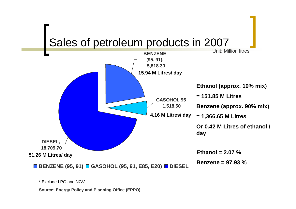

\* Exclude LPG and NGV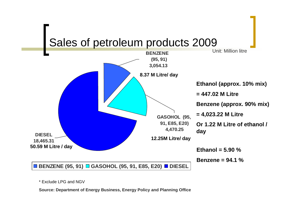



\* Exclude LPG and NGV

**Source: Department of Energy Business, Energy Policy and Planning Office**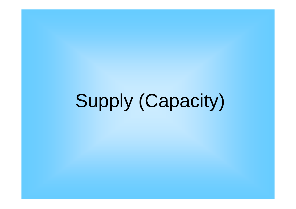Supply (Capacity)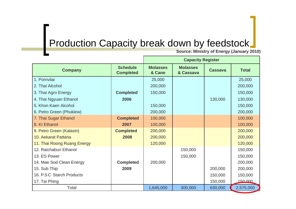### **Production Capacity break down by feedstock\_**

**Source: Ministry of Energy (January 2010)**

|                             |                                     | <b>Capacity Register</b>  |                              |                |              |  |
|-----------------------------|-------------------------------------|---------------------------|------------------------------|----------------|--------------|--|
| <b>Company</b>              | <b>Schedule</b><br><b>Completed</b> | <b>Molasses</b><br>& Cane | <b>Molasses</b><br>& Cassava | <b>Cassava</b> | <b>Total</b> |  |
| 1. Pornvilai                |                                     | 25,000                    |                              |                | 25,000       |  |
| 2. Thai Alcohol             |                                     | 200,000                   |                              |                | 200,000      |  |
| 3. Thai Agro Energy         | <b>Completed</b>                    | 150,000                   |                              |                | 150,000      |  |
| 4. Thai Ngyuan Ethanol      | 2006                                |                           |                              | 130,000        | 130,000      |  |
| 5. Khon Kaen Alcohol        |                                     | 150,000                   |                              |                | 150,000      |  |
| 6. Petro Green (Phukiew)    |                                     | 200,000                   |                              |                | 200,000      |  |
| 7. Thai Sugar Ethanol       | <b>Completed</b>                    | 100,000                   |                              |                | 100,000      |  |
| 8. KI Ethanol               | 2007                                | 100,000                   |                              |                | 100,000      |  |
| 9. Petro Green (Kalasin)    | <b>Completed</b>                    | 200,000                   |                              |                | 200,000      |  |
| 10. Aekarat Pattana         | 2008                                | 200,000                   |                              |                | 200,000      |  |
| 11. Thai Roong Ruang Energy |                                     | 120,000                   |                              |                | 120,000      |  |
| 12. Ratchaburi Ethanol      |                                     |                           | 150,000                      |                | 150,000      |  |
| 13. ES Power                |                                     |                           | 150,000                      |                | 150,000      |  |
| 14. Mae Sod Clean Energy    | <b>Completed</b>                    | 200,000                   |                              |                | 200,000      |  |
| 15. Sub Thip                | 2009                                |                           |                              | 200,000        | 200,000      |  |
| 16. P.S.C. Starch Products  |                                     |                           |                              | 150,000        | 150,000      |  |
| 17. Tai Phing               |                                     |                           |                              | 150,000        | 150,000      |  |
| Total                       |                                     | 1,645,000                 | 300,000                      | 630,000        | 2,575,000    |  |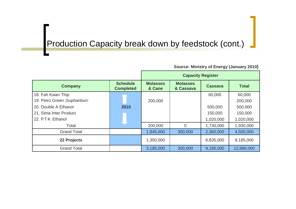#### Production Capacity break down by feedstock (cont.)

|                              |                                     | <b>Capacity Register</b>  |                              |                |              |
|------------------------------|-------------------------------------|---------------------------|------------------------------|----------------|--------------|
| <b>Company</b>               | <b>Schedule</b><br><b>Completed</b> | <b>Molasses</b><br>& Cane | <b>Molasses</b><br>& Cassava | <b>Cassava</b> | <b>Total</b> |
| 18. Fah Kwan Thip            |                                     |                           |                              | 60,000         | 60,000       |
| 19. Petro Green (Suphanburi) |                                     | 200,000                   |                              |                | 200,000      |
| 20. Double A Ethanol         | 2010                                |                           |                              | 500,000        | 500,000      |
| 21. Sima Inter Product       |                                     |                           |                              | 150,000        | 150,000      |
| 22. P.T.K. Ethanol           |                                     |                           |                              | 1,020,000      | 1,020,000    |
| Total                        |                                     | 200,000                   | $\overline{0}$               | 1,730,000      | 1,930,000    |
| <b>Grand Total</b>           |                                     | 1,845,000                 | 300,000                      | 2,360,000      | 4,505,000    |
| 22 Projects                  |                                     | 1,350,000                 |                              | 6,835,000      | 8,185,000    |
| <b>Grand Total</b>           |                                     | 3,195,000                 | 300,000                      | 9,195,000      | 12,690,000   |

**Source: Ministry of Energy (January 2010)**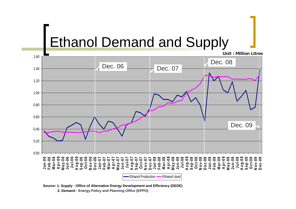### Ethanol Demand and Supply

0.000.200.400.600.801.001.201.401.60**Jan-06 Feb-06 Mar-06 A pr-06 May-06 Jun-06 Jul-06 A ug-06 Sep-06 Oct-06 N ov-06 D ec-06 Jan-07 Feb-07 Mar-07 A pr-07 May-07 Jun-07 Jul-07 A ug-07 Sep-07 Oct-07 N ov-07 D ec-07 Jan-08 Feb-08 Mar-08 A pr-08 May-08 Jun-08 Jul-08 A ug-08 Sep-08 Oct-08 N ov-08 D ec-08 Jan-09 Feb-09 Mar-09 A pr-09 May-0 Jun-09 Jul-09 A ug-09 Sep-09 Oct-09 N ov-09 D ec-09** Ethanol Production —— Ethanol Used **Unit : Million Litres**Dec. 06 Dec. 07 Dec. 08 Dec. 09

**Source: 1. Supply - Office of Alternative Energy Development and Efficiency (DEDE)** 

**2. Demand - Energy Policy and Planning Office (EPPO)**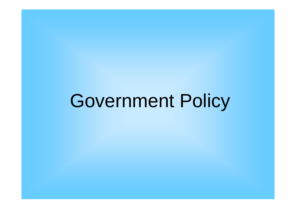Government Policy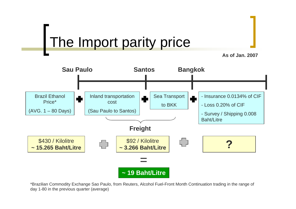### The Import parity price





\*Brazilian Commodity Exchange Sao Paulo, from Reuters, Alcohol Fuel-Front Month Continuation trading in the range of day 1-80 in the previous quarter (average)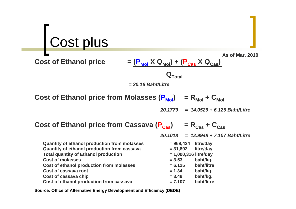# Cost plus

**Cost of Ethanol price** 

$$
= \frac{(\mathbf{P}_{\text{Mol}} \mathbf{X} \mathbf{Q}_{\text{Mol}}) + (\mathbf{P}_{\text{Cas}} \mathbf{X} \mathbf{Q}_{\text{Cas}})}{\mathbf{Q}_{\text{Total}}}
$$

*= 20.16 Baht/Litre*

**Cost of Ethanol price from Molasses**  $(P_{Mol}) = R_{Mol} + C_{Mol}$ 

*20.1779 = 14.0529 + 6.125 Baht/Litre*

**As of Mar. 2010**

#### **Cost of Ethanol price from Cassava**  $(P_{\text{Cas}})$  **=**  $R_{\text{Cas}} + C_{\text{Cas}}$

**Quantity of ethanol production from molasses Quantity of ethanol production from cassava Total quantity of Ethanol production Cost of molasses Cost of ethanol production from molasses** Cost of cassava root **Cost of cassava chip** 

**Cost of ethanol production from cassava** 

*20.1018 = 12.9948 + 7.107 Baht/Litre*

| = 968,424             | litre/day  |
|-----------------------|------------|
| $= 31,892$            | litre/day  |
| = 1,000,316 litre/day |            |
| $= 3.53$              | baht/kg.   |
| $= 6.125$             | baht/litre |
| $= 1.34$              | baht/kg.   |
| $= 3.49$              | baht/kg.   |
| $= 7.107$             | baht/litre |

**Source: Office of Alternative Energy Development and Efficiency (DEDE)**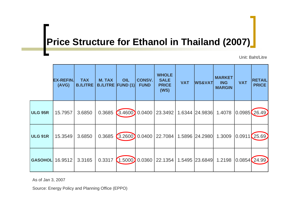### **Price Structure for Ethanol in Thailand (2007)**

Unit: Baht/Litre

|                        | <b>EX-REFIN.</b><br>(AVG) | <b>TAX</b><br><b>B./LITRE</b> | <b>M. TAX</b><br><b>B./LITRE FUND (1)</b> | OIL      | <b>CONSV.</b><br><b>FUND</b> | <b>WHOLE</b><br><b>SALE</b><br><b>PRICE</b><br>(WS) | <b>VAT</b> | <b>WS&amp;VAT</b> | <b>MARKET</b><br><b>ING</b><br><b>MARGIN</b> | <b>VAT</b>    | <b>RETAIL</b><br><b>PRICE</b> |
|------------------------|---------------------------|-------------------------------|-------------------------------------------|----------|------------------------------|-----------------------------------------------------|------------|-------------------|----------------------------------------------|---------------|-------------------------------|
| <b>ULG 95R</b>         | 15.7957                   | 3.6850                        | 0.3685                                    | (3.4600) | 0.0400                       | 23.3492                                             |            | 1.6344 24.9836    | 1.4078                                       |               | 0.0985(26.49)                 |
| <b>ULG 91R</b>         | 15.3549                   | 3.6850                        | 0.3685                                    | (3.2600) | 0.0400                       | 22.7084                                             |            | 1.5896 24.2980    | 1.3009                                       | 0.0911(25.69) |                               |
| <b>GASOHOL</b> 16.9512 |                           | 3.3165                        | 0.3317                                    | (1.5000) | 0.0360                       | 22.1354                                             |            | 1.5495 23.6849    | 1.2198                                       | 0.0854(24.99) |                               |

As of Jan 3, 2007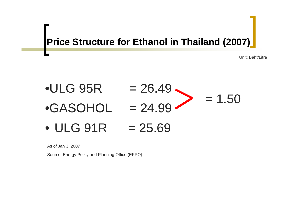### **Price Structure for Ethanol in Thailand (2007)**

Unit: Baht/Litre

#### •ULG 95R•GASOHOL  $= 26.49$  $= 24.99$  $= 1.50$ • ULG 91R  $= 25.69$

As of Jan 3, 2007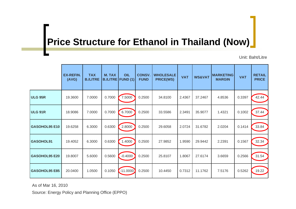### **Price Structure for Ethanol in Thailand (Now)**

Unit: Baht/Litre

|                      | <b>EX-REFIN.</b><br>(AVG) | <b>TAX</b><br><b>B./LITRE</b> | <b>M. TAX</b> | OIL<br><b>B./LITRE   FUND (1)</b> | <b>CONSV.</b><br><b>FUND</b> | <b>WHOLESALE</b><br><b>PRICE(WS)</b> | <b>VAT</b> | <b>WS&amp;VAT</b> | <b>MARKETING</b><br><b>MARGIN</b> | <b>VAT</b> | <b>RETAIL</b><br><b>PRICE</b> |
|----------------------|---------------------------|-------------------------------|---------------|-----------------------------------|------------------------------|--------------------------------------|------------|-------------------|-----------------------------------|------------|-------------------------------|
| <b>ULG 95R</b>       | 19.3600                   | 7.0000                        | 0.7000        | 7.5000                            | 0.2500                       | 34.8100                              | 2.4367     | 37.2467           | 4.8536                            | 0.3397     | 42.44                         |
| <b>ULG 91R</b>       | 18.9086                   | 7.0000                        | 0.7000        | 6.7000                            | 0.2500                       | 33.5586                              | 2.3491     | 35.9077           | 1.4321                            | 0.1002     | 37.44                         |
| <b>GASOHOL95 E10</b> | 19.6258                   | 6.3000                        | 0.6300        | 2.8000                            | 0.2500                       | 29.6058                              | 2.0724     | 31.6782           | 2.0204                            | 0.1414     | 33.84                         |
| <b>GASOHOL91</b>     | 19.4052                   | 6.3000                        | 0.6300        | 1.4000                            | 0.2500                       | 27.9852                              | 1.9590     | 29.9442           | 2.2391                            | 0.1567     | 32.34                         |
| <b>GASOHOL95 E20</b> | 19.8007                   | 5.6000                        | 0.5600        | $-0.4000$                         | 0.2500                       | 25.8107                              | 1.8067     | 27.6174           | 3.6659                            | 0.2566     | 31.54                         |
| <b>GASOHOL95 E85</b> | 20.0400                   | 1.0500                        | 0.1050        | $-11.0000$                        | 0.2500                       | 10.4450                              | 0.7312     | 11.1762           | 7.5176                            | 0.5262     | 19.22                         |

As of Mar 16, 2010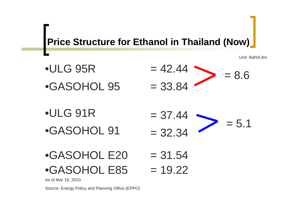### **Price Structure for Ethanol in Thailand (Now)**

Unit: Baht/Litre

- $= 8.6$ •ULG 95R $= 42.44$
- •GASOHOL 95  $= 33.84$
- •ULG 91R
- •GASOHOL 91
- $= 5.1$  $= 37.44$  $= 32.34$
- $\cdot$ GASOHOL E20  $=$  31.54  $\cdot$ GASOHOL E85  $= 19.22$

As of Mar 16, 2010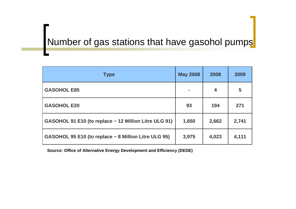### Number of gas stations that have gasohol pumps

| <b>Type</b>                                           | <b>May 2008</b> | 2008  | 2009  |
|-------------------------------------------------------|-----------------|-------|-------|
| <b>GASOHOL E85</b>                                    |                 | 4     | 5     |
| <b>GASOHOL E20</b>                                    | 93              | 194   | 271   |
| GASOHOL 91 E10 (to replace ~ 12 Million Litre ULG 91) | 1,650           | 2,662 | 2,741 |
| GASOHOL 95 E10 (to replace ~ 8 Million Litre ULG 95)  | 3,975           | 4,023 | 4,111 |

**Source: Office of Alternative Energy Development and Efficiency (DEDE)**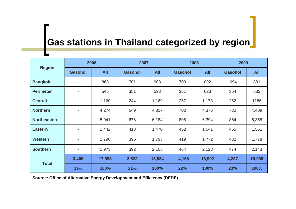### **Gas stations in Thailand categorized by region**

|                     | 2006                     |            | 2007           |            |                | 2008<br>2009 |                |            |
|---------------------|--------------------------|------------|----------------|------------|----------------|--------------|----------------|------------|
| <b>Region</b>       | <b>Gasohol</b>           | <b>All</b> | <b>Gasohol</b> | <b>All</b> | <b>Gasohol</b> | <b>All</b>   | <b>Gasohol</b> | <b>All</b> |
| <b>Bangkok</b>      |                          | 868        | 701            | 903        | 703            | 892          | 694            | 881        |
| <b>Perimeter</b>    |                          | 545        | 351            | 593        | 361            | 623          | 364            | 632        |
| <b>Central</b>      |                          | 1,160      | 244            | 1,169      | 257            | 1,173        | 262            | 1186       |
| <b>Northern</b>     | $\overline{\phantom{a}}$ | 4,274      | 649            | 4,317      | 702            | 4,376        | 732            | 4,409      |
| <b>Northeastern</b> | $\overline{\phantom{a}}$ | 5,941      | 676            | 6,184      | 808            | 6,394        | 864            | 6,355      |
| <b>Eastern</b>      | $\overline{\phantom{a}}$ | 1,442      | 413            | 1,470      | 452            | 1,541        | 465            | 1,551      |
| <b>Western</b>      |                          | 1,790      | 396            | 1,793      | 419            | 1,772        | 432            | 1,778      |
| <b>Southern</b>     | $\blacksquare$           | 1,973      | 392            | 2,105      | 464            | 2,128        | 474            | 2,143      |
| <b>Total</b>        | 3,466                    | 17,993     | 3,822          | 18,534     | 4,166          | 18,902       | 4,287          | 18,935     |
|                     | 19%                      | 100%       | 21%            | 100%       | 22%            | 100%         | 23%            | 100%       |

**Source: Office of Alternative Energy Development and Efficiency (DEDE)**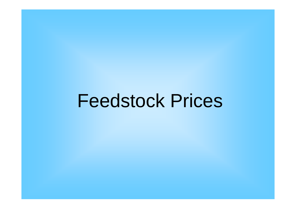Feedstock Prices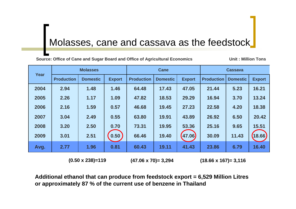### Molasses, cane and cassava as the feedstock

**Source: Office of Cane and Sugar Board and Office of Agricultural Economics Unit : Million Tons**

|      | <b>Molasses</b><br>Year |                 |               | Cane              |                 |               | <b>Cassava</b>    |                 |               |
|------|-------------------------|-----------------|---------------|-------------------|-----------------|---------------|-------------------|-----------------|---------------|
|      | <b>Production</b>       | <b>Domestic</b> | <b>Export</b> | <b>Production</b> | <b>Domestic</b> | <b>Export</b> | <b>Production</b> | <b>Domestic</b> | <b>Export</b> |
| 2004 | 2.94                    | 1.48            | 1.46          | 64.48             | 17.43           | 47.05         | 21.44             | 5.23            | 16.21         |
| 2005 | 2.26                    | 1.17            | 1.09          | 47.82             | 18.53           | 29.29         | 16.94             | 3.70            | 13.24         |
| 2006 | 2.16                    | 1.59            | 0.57          | 46.68             | 19.45           | 27.23         | 22.58             | 4.20            | 18.38         |
| 2007 | 3.04                    | 2.49            | 0.55          | 63.80             | 19.91           | 43.89         | 26.92             | 6.50            | 20.42         |
| 2008 | 3.20                    | 2.50            | 0.70          | 73.31             | 19.95           | 53.36         | 25.16             | 9.65            | 15.51         |
| 2009 | 3.01                    | 2.51            | 0.50          | 66.46             | 19.40           | (47.06)       | 30.09             | 11.43           | (18.66)       |
| Avg. | 2.77                    | 1.96            | 0.81          | 60.43             | 19.11           | 41.43         | 23.86             | 6.79            | 16.40         |

**(0.50 x 238)=119 (47.06 x 70)= 3,294 (18.66 x 167)= 3,116**

**Additional ethanol that can produce from feedstock export = 6,529 Million Litres or approximately 87 % of the current use of benzene in Thailand**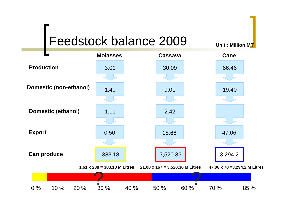### Feedstock balance 2009

**Unit : Million MT**

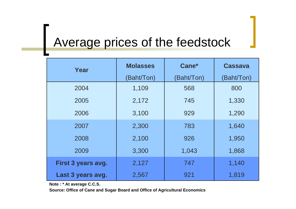## Average prices of the feedstock

| Year               | <b>Molasses</b>  | Cane*     | <b>Cassava</b> |
|--------------------|------------------|-----------|----------------|
|                    | <b>Baht/Ton)</b> | Baht/Ton) | (Baht/Ton)     |
| 2004               | 1,109            | 568       | 800            |
| 2005               | 2,172            | 745       | 1,330          |
| 2006               | 3,100            | 929       | 1,290          |
| 2007               | 2,300            | 783       | 1,640          |
| 2008               | 2,100            | 926       | 1,950          |
| 2009               | 3,300            | 1,043     | 1,868          |
| First 3 years avg. | 2,127            | 747       | 1,140          |
| Last 3 years avg.  | 2,567            | 921       | 1,819          |

**Note : \* At average C.C.S.**

**Source: Office of Cane and Sugar Board and Office of Agricultural Economics**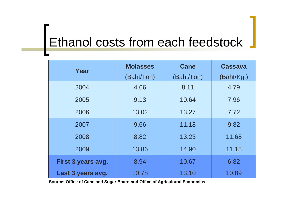## Ethanol costs from each feedstock

| Year               | <b>Molasses</b> | <b>Cane</b> | <b>Cassava</b> |
|--------------------|-----------------|-------------|----------------|
|                    | (Baht/Ton)      | (Baht/Ton)  | (Baht/Kg.)     |
| 2004               | 4.66            | 8.11        | 4.79           |
| 2005               | 9.13            | 10.64       | 7.96           |
| 2006               | 13.02           | 13.27       | 7.72           |
| 2007               | 9.66            | 11.18       | 9.82           |
| 2008               | 8.82            | 13.23       | 11.68          |
| 2009               | 13.86           | 14.90       | 11.18          |
| First 3 years avg. | 8.94            | 10.67       | 6.82           |
| Last 3 years avg.  | 10.78           | 13.10       | 10.89          |

**Source: Office of Cane and Sugar Board and Office of Agricultural Economics**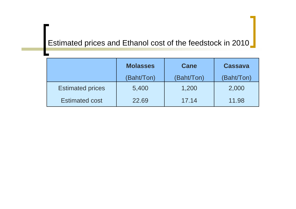#### Estimated prices and Ethanol cost of the feedstock in 2010

|                         | <b>Molasses</b> | <b>Cane</b> | <b>Cassava</b> |
|-------------------------|-----------------|-------------|----------------|
|                         | (Baht/Ton)      | (Baht/Ton)  | (Baht/Ton)     |
| <b>Estimated prices</b> | 5,400           | 1,200       | 2,000          |
| <b>Estimated cost</b>   | 22.69           | 17.14       | 11.98          |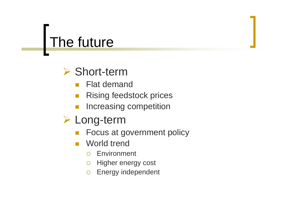### The future



- $\mathbb{R}^2$ Flat demand
- П Rising feedstock prices
- Increasing competition
- ¾ Long-term
	- Focus at government policy
	- World trend
		- ${\color{black} \bigcirc}$ Environment
		- $\bigcirc$ Higher energy cost
		- ${\bigcirc}$ Energy independent